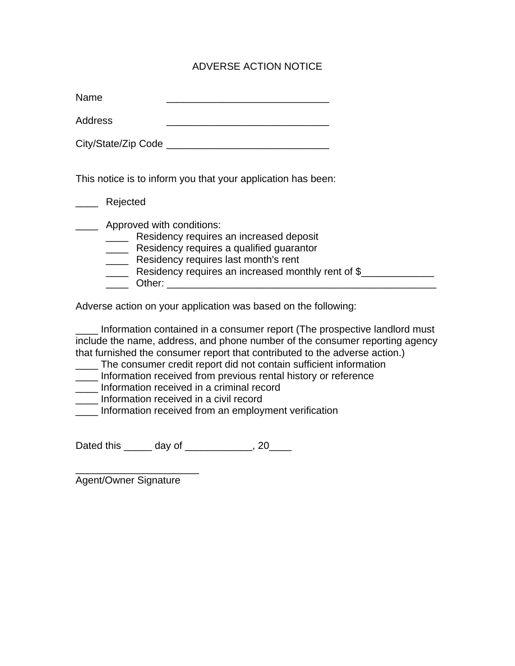## ADVERSE ACTION NOTICE

| Name |  |
|------|--|
|------|--|

Address

City/State/Zip Code \_\_\_\_\_\_\_\_\_\_\_\_\_\_\_\_\_\_\_\_\_\_\_\_\_\_\_\_\_

This notice is to inform you that your application has been:

\_\_\_\_ Rejected

**EXECUTE:** Approved with conditions:

**\_\_\_\_\_** Residency requires an increased deposit

- **EXECUTE:** Residency requires a qualified quarantor
- **EXECUTE:** Residency requires last month's rent
- Looper Residency requires an increased monthly rent of \$
- \_\_\_\_ Other: \_\_\_\_\_\_\_\_\_\_\_\_\_\_\_\_\_\_\_\_\_\_\_\_\_\_\_\_\_\_\_\_\_\_\_\_\_\_\_\_\_\_\_\_\_\_\_\_

Adverse action on your application was based on the following:

Information contained in a consumer report (The prospective landlord must include the name, address, and phone number of the consumer reporting agency that furnished the consumer report that contributed to the adverse action.)

- \_\_\_\_ The consumer credit report did not contain sufficient information
- \_\_\_\_ Information received from previous rental history or reference
- \_\_\_\_ Information received in a criminal record
- \_\_\_\_ Information received in a civil record

\_\_\_\_ Information received from an employment verification

Dated this \_\_\_\_\_\_ day of \_\_\_\_\_\_\_\_\_\_\_, 20\_\_\_\_

\_\_\_\_\_\_\_\_\_\_\_\_\_\_\_\_\_\_\_\_\_\_ Agent/Owner Signature